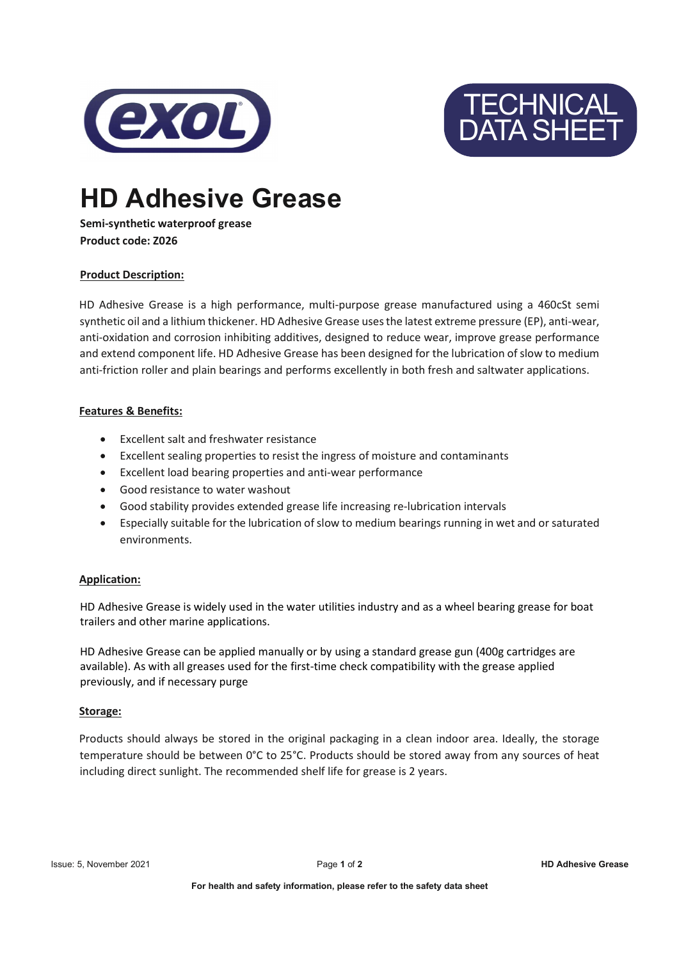



# HD Adhesive Grease

## Semi-synthetic waterproof grease Product code: Z026

# Product Description:

HD Adhesive Grease is a high performance, multi-purpose grease manufactured using a 460cSt semi synthetic oil and a lithium thickener. HD Adhesive Grease uses the latest extreme pressure (EP), anti-wear, anti-oxidation and corrosion inhibiting additives, designed to reduce wear, improve grease performance and extend component life. HD Adhesive Grease has been designed for the lubrication of slow to medium anti-friction roller and plain bearings and performs excellently in both fresh and saltwater applications.

## Features & Benefits:

- Excellent salt and freshwater resistance
- Excellent sealing properties to resist the ingress of moisture and contaminants
- Excellent load bearing properties and anti-wear performance
- Good resistance to water washout
- Good stability provides extended grease life increasing re-lubrication intervals
- Especially suitable for the lubrication of slow to medium bearings running in wet and or saturated environments.

#### Application:

HD Adhesive Grease is widely used in the water utilities industry and as a wheel bearing grease for boat trailers and other marine applications.

HD Adhesive Grease can be applied manually or by using a standard grease gun (400g cartridges are available). As with all greases used for the first-time check compatibility with the grease applied previously, and if necessary purge

#### Storage:

Products should always be stored in the original packaging in a clean indoor area. Ideally, the storage temperature should be between 0°C to 25°C. Products should be stored away from any sources of heat including direct sunlight. The recommended shelf life for grease is 2 years.